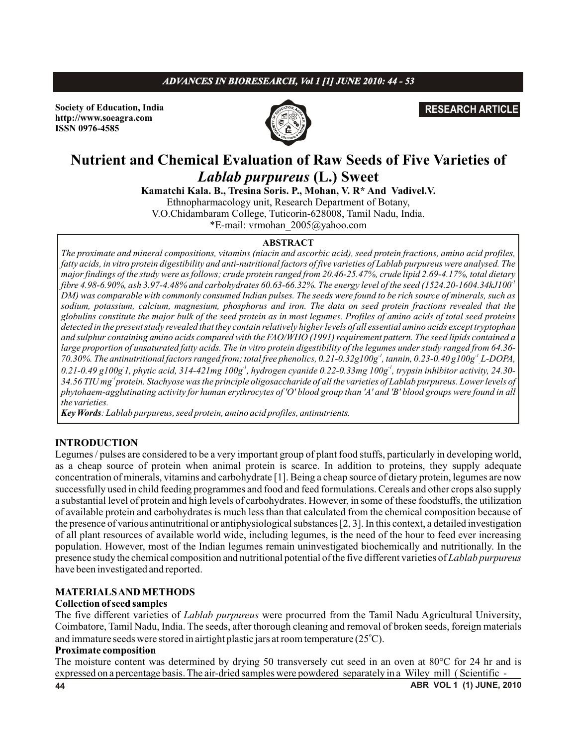# *ADVANCES IN BIORESEARCH, Vol 1 [1] JUNE 2010: 44 - 53*

**Society of Education, India http://www.soeagra.com ISSN 0976-4585**



## **RESEARCH ARTICLE**

# **Nutrient and Chemical Evaluation of Raw Seeds of Five Varieties of**  *Lablab purpureus* **(L.) Sweet**

**Kamatchi Kala. B., Tresina Soris. P., Mohan, V. R\* And Vadivel.V.** Ethnopharmacology unit, Research Department of Botany, V.O.Chidambaram College, Tuticorin-628008, Tamil Nadu, India. \*E-mail: vrmohan\_2005@yahoo.com

#### **ABSTRACT**

*The proximate and mineral compositions, vitamins (niacin and ascorbic acid), seed protein fractions, amino acid profiles,*  fatty acids, in vitro protein digestibility and anti-nutritional factors of five varieties of Lablab purpureus were analysed. The *major findings of the study were as follows; crude protein ranged from 20.46-25.47%, crude lipid 2.69-4.17%, total dietary -1 fibre 4.98-6.90%, ash 3.97-4.48% and carbohydrates 60.63-66.32%. The energy level of the seed (1524.20-1604.34kJ100 DM) was comparable with commonly consumed Indian pulses. The seeds were found to be rich source of minerals, such as sodium, potassium, calcium, magnesium, phosphorus and iron. The data on seed protein fractions revealed that the globulins constitute the major bulk of the seed protein as in most legumes. Profiles of amino acids of total seed proteins detected in the present study revealed that they contain relatively higher levels of all essential amino acids except tryptophan and sulphur containing amino acids compared with the FAO/WHO (1991) requirement pattern. The seed lipids contained a large proportion of unsaturated fatty acids. The in vitro protein digestibility of the legumes under study ranged from 64.36- 70.30%. The antinutritional factors ranged from; total free phenolics, 0.21-0.32g100g<sup>-1</sup>, tannin, 0.23-0.40 g100g<sup>-1</sup> L-DOPA, - -1 -1 0.21-0.49 g100g 1, phytic acid, 314-421mg 100g , hydrogen cyanide 0.22-0.33mg 100g , trypsin inhibitor activity, 24.30- -1 34.56 TIU mg protein. Stachyose was the principle oligosaccharide of all the varieties of Lablab purpureus. Lower levels of phytohaem-agglutinating activity for human erythrocytes of 'O' blood group than 'A' and 'B' blood groups were found in all the varieties.*

*Key Words: Lablab purpureus, seed protein, amino acid profiles, antinutrients.*

### **INTRODUCTION**

Legumes / pulses are considered to be a very important group of plant food stuffs, particularly in developing world, as a cheap source of protein when animal protein is scarce. In addition to proteins, they supply adequate concentration of minerals, vitamins and carbohydrate [1]. Being a cheap source of dietary protein, legumes are now successfully used in child feeding programmes and food and feed formulations. Cereals and other crops also supply a substantial level of protein and high levels of carbohydrates. However, in some of these foodstuffs, the utilization of available protein and carbohydrates is much less than that calculated from the chemical composition because of the presence of various antinutritional or antiphysiological substances [2, 3]. In this context, a detailed investigation of all plant resources of available world wide, including legumes, is the need of the hour to feed ever increasing population. However, most of the Indian legumes remain uninvestigated biochemically and nutritionally. In the presence study the chemical composition and nutritional potential of the five different varieties of *Lablab purpureus* have been investigated and reported.

#### **MATERIALS AND METHODS**

#### **Collection of seed samples**

The five different varieties of *Lablab purpureus* were procurred from the Tamil Nadu Agricultural University, Coimbatore, Tamil Nadu, India. The seeds, after thorough cleaning and removal of broken seeds, foreign materials and immature seeds were stored in airtight plastic jars at room temperature (25 $^{\circ}$ C).

#### **Proximate composition**

The moisture content was determined by drying 50 transversely cut seed in an oven at 80°C for 24 hr and is expressed on a percentage basis. The air-dried samples were powdered separately in a Wiley mill ( Scientific -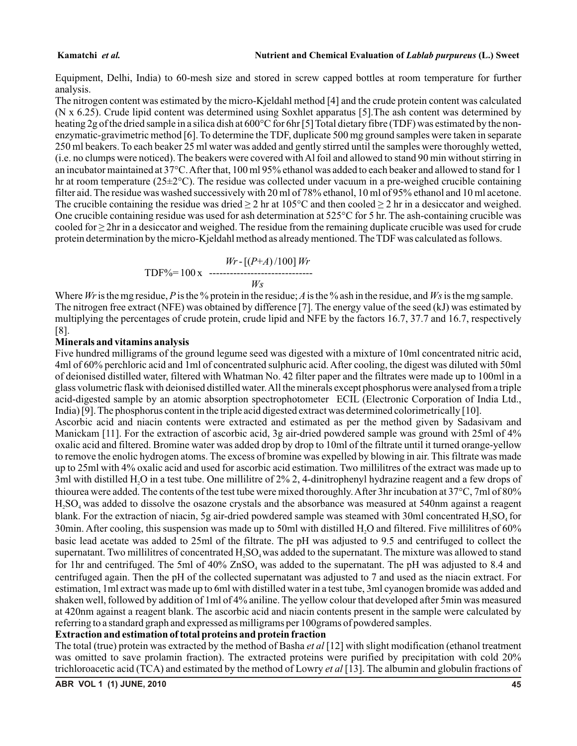#### **Kamatchi** *et al.* **Nutrient and Chemical Evaluation of** *Lablab purpureus* **(L.) Sweet**

Equipment, Delhi, India) to 60-mesh size and stored in screw capped bottles at room temperature for further analysis.

The nitrogen content was estimated by the micro-Kjeldahl method [4] and the crude protein content was calculated (N x 6.25). Crude lipid content was determined using Soxhlet apparatus [5].The ash content was determined by heating 2g of the dried sample in a silica dish at 600°C for 6hr [5] Total dietary fibre (TDF) was estimated by the nonenzymatic-gravimetric method [6]. To determine the TDF, duplicate 500 mg ground samples were taken in separate 250 ml beakers. To each beaker 25 ml water was added and gently stirred until the samples were thoroughly wetted, (i.e. no clumps were noticed). The beakers were covered with Al foil and allowed to stand 90 min without stirring in an incubator maintained at 37°C. After that, 100 ml 95% ethanol was added to each beaker and allowed to stand for 1 hr at room temperature  $(25\pm2°C)$ . The residue was collected under vacuum in a pre-weighed crucible containing filter aid. The residue was washed successively with 20 ml of 78% ethanol, 10 ml of 95% ethanol and 10 ml acetone. The crucible containing the residue was dried  $\geq 2$  hr at 105°C and then cooled  $\geq 2$  hr in a desiccator and weighed. One crucible containing residue was used for ash determination at 525°C for 5 hr. The ash-containing crucible was cooled for ≥ 2hr in a desiccator and weighed. The residue from the remaining duplicate crucible was used for crude protein determination by the micro-Kjeldahl method as already mentioned. The TDF was calculated as follows.

$$
Wr - [(P+A)/100]Wr
$$
  
TDF%= 100 x 1001 Wr

Where *Wr*is the mg residue, *P*is the % protein in the residue; *A*is the % ash in the residue, and *Ws*is the mg sample. The nitrogen free extract (NFE) was obtained by difference [7]. The energy value of the seed (kJ) was estimated by multiplying the percentages of crude protein, crude lipid and NFE by the factors 16.7, 37.7 and 16.7, respectively [8].

### **Minerals and vitamins analysis**

Five hundred milligrams of the ground legume seed was digested with a mixture of 10ml concentrated nitric acid, 4ml of 60% perchloric acid and 1ml of concentrated sulphuric acid. After cooling, the digest was diluted with 50ml of deionised distilled water, filtered with Whatman No. 42 filter paper and the filtrates were made up to 100ml in a glass volumetric flask with deionised distilled water. All the minerals except phosphorus were analysed from a triple acid-digested sample by an atomic absorption spectrophotometer ECIL (Electronic Corporation of India Ltd., India) [9]. The phosphorus content in the triple acid digested extract was determined colorimetrically [10].

Ascorbic acid and niacin contents were extracted and estimated as per the method given by Sadasivam and Manickam [11]. For the extraction of ascorbic acid, 3g air-dried powdered sample was ground with 25ml of 4% oxalic acid and filtered. Bromine water was added drop by drop to 10ml of the filtrate until it turned orange-yellow to remove the enolic hydrogen atoms. The excess of bromine was expelled by blowing in air. This filtrate was made up to 25ml with 4% oxalic acid and used for ascorbic acid estimation. Two millilitres of the extract was made up to 3ml with distilled H,O in a test tube. One millilitre of  $2\%$  2, 4-dinitrophenyl hydrazine reagent and a few drops of thiourea were added. The contents of the test tube were mixed thoroughly. After 3hr incubation at 37°C, 7ml of 80% H, SO, was added to dissolve the osazone crystals and the absorbance was measured at 540nm against a reagent blank. For the extraction of niacin, 5g air-dried powdered sample was steamed with 30ml concentrated  $H$ ,  $SO<sub>4</sub>$  for 30min. After cooling, this suspension was made up to 50ml with distilled  $H_2O$  and filtered. Five millilitres of 60% basic lead acetate was added to 25ml of the filtrate. The pH was adjusted to 9.5 and centrifuged to collect the supernatant. Two millilitres of concentrated  $H<sub>1</sub>SO<sub>4</sub>$  was added to the supernatant. The mixture was allowed to stand for 1hr and centrifuged. The 5ml of  $40\%$  ZnSO<sub>4</sub> was added to the supernatant. The pH was adjusted to 8.4 and centrifuged again. Then the pH of the collected supernatant was adjusted to 7 and used as the niacin extract. For estimation, 1ml extract was made up to 6ml with distilled water in a test tube, 3ml cyanogen bromide was added and shaken well, followed by addition of 1ml of 4% aniline. The yellow colour that developed after 5min was measured at 420nm against a reagent blank. The ascorbic acid and niacin contents present in the sample were calculated by referring to a standard graph and expressed as milligrams per 100grams of powdered samples.

### **Extraction and estimation of total proteins and protein fraction**

The total (true) protein was extracted by the method of Basha *et al* [12] with slight modification (ethanol treatment was omitted to save prolamin fraction). The extracted proteins were purified by precipitation with cold 20% trichloroacetic acid (TCA) and estimated by the method of Lowry *et al* [13]. The albumin and globulin fractions of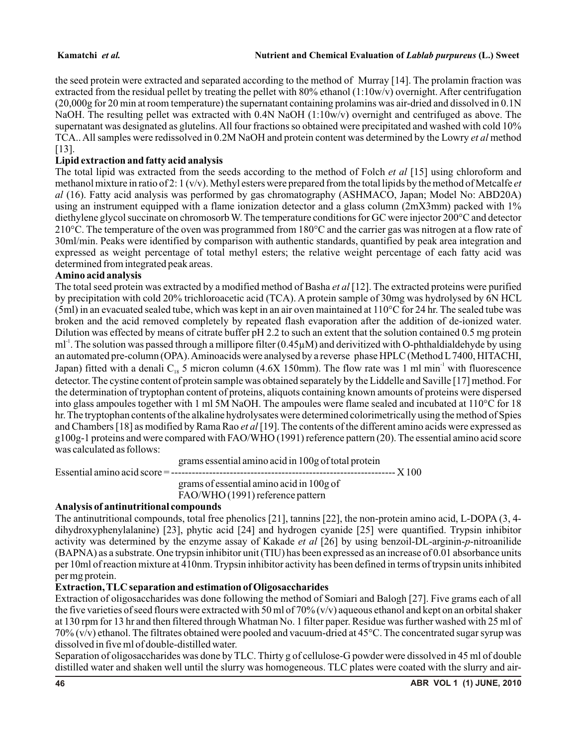the seed protein were extracted and separated according to the method of Murray [14]. The prolamin fraction was extracted from the residual pellet by treating the pellet with 80% ethanol  $(1:10w/v)$  overnight. After centrifugation (20,000g for 20 min at room temperature) the supernatant containing prolamins was air-dried and dissolved in 0.1N NaOH. The resulting pellet was extracted with 0.4N NaOH (1:10w/v) overnight and centrifuged as above. The supernatant was designated as glutelins. All four fractions so obtained were precipitated and washed with cold 10% TCA.. All samples were redissolved in 0.2M NaOH and protein content was determined by the Lowry *et al* method [13].

# **Lipid extraction and fatty acid analysis**

The total lipid was extracted from the seeds according to the method of Folch *et al* [15] using chloroform and methanol mixture in ratio of 2: 1 (v/v). Methyl esters were prepared from the total lipids by the method of Metcalfe *et al* (16). Fatty acid analysis was performed by gas chromatography (ASHMACO, Japan; Model No: ABD20A) using an instrument equipped with a flame ionization detector and a glass column (2mX3mm) packed with 1% diethylene glycol succinate on chromosorb W. The temperature conditions for GC were injector 200°C and detector 210°C. The temperature of the oven was programmed from 180°C and the carrier gas was nitrogen at a flow rate of 30ml/min. Peaks were identified by comparison with authentic standards, quantified by peak area integration and expressed as weight percentage of total methyl esters; the relative weight percentage of each fatty acid was determined from integrated peak areas.

### **Amino acid analysis**

The total seed protein was extracted by a modified method of Basha *et al* [12]. The extracted proteins were purified by precipitation with cold 20% trichloroacetic acid (TCA). A protein sample of 30mg was hydrolysed by 6N HCL (5ml) in an evacuated sealed tube, which was kept in an air oven maintained at 110°C for 24 hr. The sealed tube was broken and the acid removed completely by repeated flash evaporation after the addition of de-ionized water. Dilution was effected by means of citrate buffer pH 2.2 to such an extent that the solution contained 0.5 mg protein  $ml<sup>-1</sup>$ . The solution was passed through a millipore filter (0.45 $\mu$ M) and derivitized with O-phthaldialdehyde by using an automated pre-column (OPA). Aminoacids were analysed by a reverse phase HPLC (Method L7400, HITACHI, Japan) fitted with a denali  $C_{18}$  5 micron column (4.6X 150mm). The flow rate was 1 ml min<sup>-1</sup> with fluorescence detector. The cystine content of protein sample was obtained separately by the Liddelle and Saville [17] method. For the determination of tryptophan content of proteins, aliquots containing known amounts of proteins were dispersed into glass ampoules together with 1 ml 5M NaOH. The ampoules were flame sealed and incubated at 110°C for 18 hr. The tryptophan contents of the alkaline hydrolysates were determined colorimetrically using the method of Spies and Chambers [18] as modified by Rama Rao *et al* [19]. The contents of the different amino acids were expressed as g100g-1 proteins and were compared with FAO/WHO (1991) reference pattern (20). The essential amino acid score was calculated as follows:

grams essential amino acid in 100g of total protein

Essential amino acid score = ----------------------------------------------------------------- X 100

grams of essential amino acid in 100g of

FAO/WHO (1991) reference pattern

### **Analysis of antinutritional compounds**

The antinutritional compounds, total free phenolics [21], tannins [22], the non-protein amino acid, L-DOPA (3, 4 dihydroxyphenylalanine) [23], phytic acid [24] and hydrogen cyanide [25] were quantified. Trypsin inhibitor activity was determined by the enzyme assay of Kakade *et al* [26] by using benzoil-DL-arginin-*p*-nitroanilide (BAPNA) as a substrate. One trypsin inhibitor unit (TIU) has been expressed as an increase of 0.01 absorbance units per 10ml of reaction mixture at 410nm. Trypsin inhibitor activity has been defined in terms of trypsin units inhibited per mg protein.

# **Extraction, TLC separation and estimation of Oligosaccharides**

Extraction of oligosaccharides was done following the method of Somiari and Balogh [27]. Five grams each of all the five varieties of seed flours were extracted with 50 ml of 70%  $(v/v)$  aqueous ethanol and kept on an orbital shaker at 130 rpm for 13 hr and then filtered through Whatman No. 1 filter paper. Residue was further washed with 25 ml of  $70\%$  (v/v) ethanol. The filtrates obtained were pooled and vacuum-dried at 45 $\degree$ C. The concentrated sugar syrup was dissolved in five ml of double-distilled water.

Separation of oligosaccharides was done by TLC. Thirty g of cellulose-G powder were dissolved in 45 ml of double distilled water and shaken well until the slurry was homogeneous. TLC plates were coated with the slurry and air-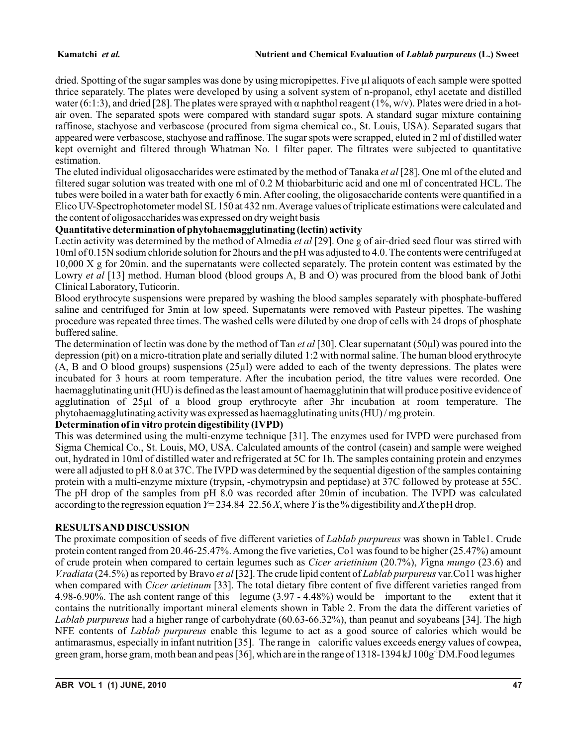#### **Kamatchi** *et al.* **Nutrient and Chemical Evaluation of** *Lablab purpureus* **(L.) Sweet**

dried. Spotting of the sugar samples was done by using micropipettes. Five µl aliquots of each sample were spotted thrice separately. The plates were developed by using a solvent system of n-propanol, ethyl acetate and distilled water (6:1:3), and dried [28]. The plates were sprayed with  $\alpha$  naphthol reagent (1%, w/v). Plates were dried in a hotair oven. The separated spots were compared with standard sugar spots. A standard sugar mixture containing raffinose, stachyose and verbascose (procured from sigma chemical co., St. Louis, USA). Separated sugars that appeared were verbascose, stachyose and raffinose. The sugar spots were scrapped, eluted in 2 ml of distilled water kept overnight and filtered through Whatman No. 1 filter paper. The filtrates were subjected to quantitative estimation.

The eluted individual oligosaccharides were estimated by the method of Tanaka *et al* [28]. One ml of the eluted and filtered sugar solution was treated with one ml of 0.2 M thiobarbituric acid and one ml of concentrated HCL. The tubes were boiled in a water bath for exactly 6 min. After cooling, the oligosaccharide contents were quantified in a Elico UV-Spectrophotometer model SL150 at 432 nm. Average values of triplicate estimations were calculated and the content of oligosaccharides was expressed on dry weight basis

# **Quantitative determination of phytohaemagglutinating (lectin) activity**

Lectin activity was determined by the method of Almedia *et al* [29]. One g of air-dried seed flour was stirred with 10ml of 0.15N sodium chloride solution for 2hours and the pH was adjusted to 4.0. The contents were centrifuged at 10,000 X g for 20min. and the supernatants were collected separately. The protein content was estimated by the Lowry *et al* [13] method. Human blood (blood groups A, B and O) was procured from the blood bank of Jothi Clinical Laboratory, Tuticorin.

Blood erythrocyte suspensions were prepared by washing the blood samples separately with phosphate-buffered saline and centrifuged for 3min at low speed. Supernatants were removed with Pasteur pipettes. The washing procedure was repeated three times. The washed cells were diluted by one drop of cells with 24 drops of phosphate buffered saline.

The determination of lectin was done by the method of Tan *et al* [30]. Clear supernatant (50µl) was poured into the depression (pit) on a micro-titration plate and serially diluted 1:2 with normal saline. The human blood erythrocyte (A, B and O blood groups) suspensions (25µl) were added to each of the twenty depressions. The plates were incubated for 3 hours at room temperature. After the incubation period, the titre values were recorded. One haemagglutinating unit (HU) is defined as the least amount of haemagglutinin that will produce positive evidence of agglutination of 25µl of a blood group erythrocyte after 3hr incubation at room temperature. The phytohaemagglutinating activity was expressed as haemagglutinating units (HU) / mg protein.

### **Determination of in vitro protein digestibility (IVPD)**

This was determined using the multi-enzyme technique [31]. The enzymes used for IVPD were purchased from Sigma Chemical Co., St. Louis, MO, USA. Calculated amounts of the control (casein) and sample were weighed out, hydrated in 10ml of distilled water and refrigerated at 5C for 1h. The samples containing protein and enzymes were all adjusted to pH 8.0 at 37C. The IVPD was determined by the sequential digestion of the samples containing protein with a multi-enzyme mixture (trypsin, -chymotrypsin and peptidase) at 37C followed by protease at 55C. The pH drop of the samples from pH 8.0 was recorded after 20min of incubation. The IVPD was calculated according to the regression equation  $Y=234.84\ 22.56\ X$ , where *Y* is the % digestibility and *X* the pH drop.

# **RESULTS AND DISCUSSION**

The proximate composition of seeds of five different varieties of *Lablab purpureus* was shown in Table1. Crude protein content ranged from 20.46-25.47%. Among the five varieties, Co1 was found to be higher (25.47%) amount of crude protein when compared to certain legumes such as *Cicer arietinium* (20.7%), *V*igna *mungo* (23.6) and *V.radiata* (24.5%) as reported by Bravo *et al* [32]. The crude lipid content of *Lablab purpureus* var.Co11 was higher when compared with *Cicer arietinum* [33]. The total dietary fibre content of five different varieties ranged from 4.98-6.90%. The ash content range of this legume (3.97 - 4.48%) would be important to the extent that it contains the nutritionally important mineral elements shown in Table 2. From the data the different varieties of *Lablab purpureus* had a higher range of carbohydrate (60.63-66.32%), than peanut and soyabeans [34]. The high NFE contents of *Lablab purpureus* enable this legume to act as a good source of calories which would be antimarasmus, especially in infant nutrition [35]. The range in calorific values exceeds energy values of cowpea, green gram, horse gram, moth bean and peas [36], which are in the range of 1318-1394 kJ 100g DM. Food legumes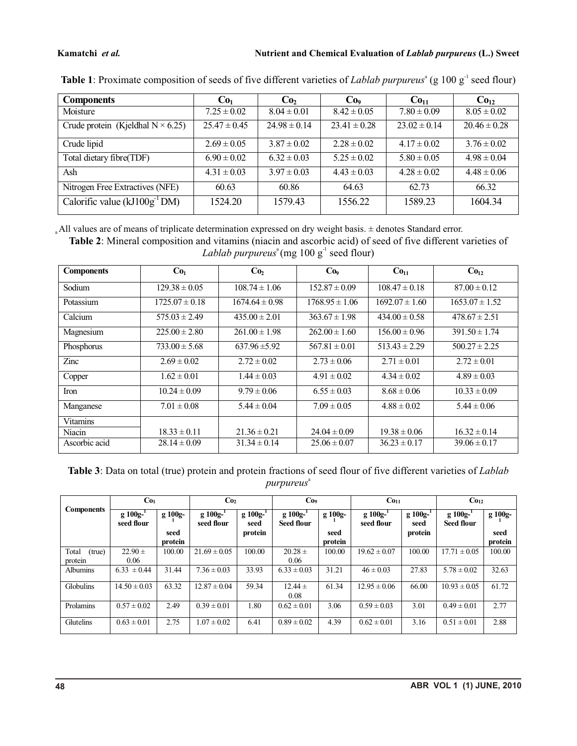#### **Kamatchi** *et al.* **Nutrient and Chemical Evaluation of** *Lablab purpureus* **(L.) Sweet**

| <b>Components</b>                         | Co <sub>1</sub>  | Co <sub>2</sub>  | Co <sub>9</sub>  | Co <sub>11</sub> | Co <sub>12</sub> |
|-------------------------------------------|------------------|------------------|------------------|------------------|------------------|
| Moisture                                  | $7.25 \pm 0.02$  | $8.04 \pm 0.01$  | $8.42 \pm 0.05$  | $7.80 \pm 0.09$  | $8.05 \pm 0.02$  |
| Crude protein (Kjeldhal $N \times 6.25$ ) | $25.47 \pm 0.45$ | $24.98 \pm 0.14$ | $23.41 \pm 0.28$ | $23.02 \pm 0.14$ | $20.46 \pm 0.28$ |
| Crude lipid                               | $2.69 \pm 0.05$  | $3.87 \pm 0.02$  | $2.28 \pm 0.02$  | $4.17 \pm 0.02$  | $3.76 \pm 0.02$  |
| Total dietary fibre(TDF)                  | $6.90 \pm 0.02$  | $6.32 \pm 0.03$  | $5.25 \pm 0.02$  | $5.80 \pm 0.05$  | $4.98 \pm 0.04$  |
| Ash                                       | $4.31 \pm 0.03$  | $3.97 \pm 0.03$  | $4.43 \pm 0.03$  | $4.28 \pm 0.02$  | $4.48 \pm 0.06$  |
| Nitrogen Free Extractives (NFE)           | 60.63            | 60.86            | 64.63            | 62.73            | 66.32            |
| Calorific value $(kJ100g^{-1}DM)$         | 1524.20          | 1579.43          | 1556.22          | 1589.23          | 1604.34          |

Table 1: Proximate composition of seeds of five different varieties of *Lablab purpureus*<sup>a</sup> (g 100 g<sup>-1</sup> seed flour)

All values are of means of triplicate determination expressed on dry weight basis. ± denotes Standard error. a

**Table 2**: Mineral composition and vitamins (niacin and ascorbic acid) of seed of five different varieties of Lablab purpureus<sup>a</sup> (mg 100 g<sup>-1</sup> seed flour)

| <b>Components</b> | Co <sub>1</sub>    | Co <sub>2</sub>    | Co <sub>9</sub>    | Co <sub>11</sub>   | Co <sub>12</sub>   |
|-------------------|--------------------|--------------------|--------------------|--------------------|--------------------|
| Sodium            | $129.38 \pm 0.05$  | $108.74 \pm 1.06$  | $152.87 \pm 0.09$  | $108.47 \pm 0.18$  | $87.00 \pm 0.12$   |
| Potassium         | $1725.07 \pm 0.18$ | $1674.64 \pm 0.98$ | $1768.95 \pm 1.06$ | $1692.07 \pm 1.60$ | $1653.07 \pm 1.52$ |
| Calcium           | $575.03 \pm 2.49$  | $435.00 \pm 2.01$  | $363.67 \pm 1.98$  | $434.00 \pm 0.58$  | $478.67 \pm 2.51$  |
| Magnesium         | $225.00 \pm 2.80$  | $261.00 \pm 1.98$  | $262.00 \pm 1.60$  | $156.00 \pm 0.96$  | $391.50 \pm 1.74$  |
| Phosphorus        | $733.00 \pm 5.68$  | $637.96 \pm 5.92$  | $567.81 \pm 0.01$  | $513.43 \pm 2.29$  | $500.27 \pm 2.25$  |
| Zinc              | $2.69 \pm 0.02$    | $2.72 \pm 0.02$    | $2.73 \pm 0.06$    | $2.71 \pm 0.01$    | $2.72 \pm 0.01$    |
| Copper            | $1.62 \pm 0.01$    | $1.44 \pm 0.03$    | $4.91 \pm 0.02$    | $4.34 \pm 0.02$    | $4.89 \pm 0.03$    |
| Iron              | $10.24 \pm 0.09$   | $9.79 \pm 0.06$    | $6.55 \pm 0.03$    | $8.68 \pm 0.06$    | $10.33 \pm 0.09$   |
| Manganese         | $7.01 \pm 0.08$    | $5.44 \pm 0.04$    | $7.09 \pm 0.05$    | $4.88 \pm 0.02$    | $5.44 \pm 0.06$    |
| <b>Vitamins</b>   |                    |                    |                    |                    |                    |
| Niacin            | $18.33 \pm 0.11$   | $21.36 \pm 0.21$   | $24.04 \pm 0.09$   | $19.38 \pm 0.06$   | $16.32 \pm 0.14$   |
| Ascorbic acid     | $28.14 \pm 0.09$   | $31.34 \pm 0.14$   | $25.06 \pm 0.07$   | $36.23 \pm 0.17$   | $39.06 \pm 0.17$   |

**Table 3**: Data on total (true) protein and protein fractions of seed flour of five different varieties of *Lablab*  a *purpureus*

|                   | Co <sub>1</sub>             |         | Co <sub>2</sub>             |                       | Co <sub>9</sub>              |         | Co <sub>11</sub>            |                       | Co <sub>12</sub>            |         |  |
|-------------------|-----------------------------|---------|-----------------------------|-----------------------|------------------------------|---------|-----------------------------|-----------------------|-----------------------------|---------|--|
| <b>Components</b> | $g 100g^{-1}$<br>seed flour | g 100g- | $g 100g^{-1}$<br>seed flour | $g 100g^{-1}$<br>seed | g 100g-<br><b>Seed flour</b> | g 100g- | $g 100g^{-1}$<br>seed flour | $g 100g^{-1}$<br>seed | $g 100g^{-1}$<br>Seed flour | g 100g- |  |
|                   |                             | seed    |                             | protein               |                              | seed    |                             | protein               |                             | seed    |  |
|                   |                             | protein |                             |                       |                              | protein |                             |                       |                             | protein |  |
| Total<br>(true)   | $22.90 \pm$                 | 100.00  | $21.69 \pm 0.05$            | 100.00                | $20.28 \pm$                  | 100.00  | $19.62 \pm 0.07$            | 100.00                | $17.71 \pm 0.05$            | 100.00  |  |
| protein           | 0.06                        |         |                             |                       | 0.06                         |         |                             |                       |                             |         |  |
| <b>Albumins</b>   | $6.33 \pm 0.44$             | 31.44   | $7.36 \pm 0.03$             | 33.93                 | $6.33 \pm 0.03$              | 31.21   | $46 \pm 0.03$               | 27.83                 | $5.78 \pm 0.02$             | 32.63   |  |
| <b>Globulins</b>  | $14.50 \pm 0.03$            | 63.32   | $12.87 \pm 0.04$            | 59.34                 | $12.44 \pm$                  | 61.34   | $12.95 \pm 0.06$            | 66.00                 | $10.93 \pm 0.05$            | 61.72   |  |
|                   |                             |         |                             |                       | 0.08                         |         |                             |                       |                             |         |  |
| Prolamins         | $0.57 \pm 0.02$             | 2.49    | $0.39 \pm 0.01$             | 1.80                  | $0.62 \pm 0.01$              | 3.06    | $0.59 \pm 0.03$             | 3.01                  | $0.49 \pm 0.01$             | 2.77    |  |
| Glutelins         | $0.63 \pm 0.01$             | 2.75    | $.07 \pm 0.02$              | 6.41                  | $0.89 \pm 0.02$              | 4.39    | $0.62 \pm 0.01$             | 3.16                  | $0.51 \pm 0.01$             | 2.88    |  |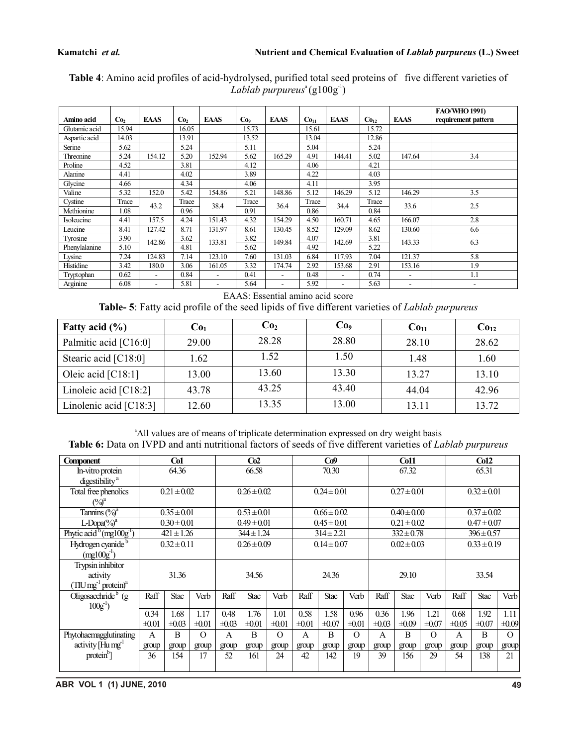|                  |                 |                          |                 |             |                 |                          |                  |                          |                  |             | <b>FAO/WHO 1991)</b> |
|------------------|-----------------|--------------------------|-----------------|-------------|-----------------|--------------------------|------------------|--------------------------|------------------|-------------|----------------------|
| Amino acid       | Co <sub>2</sub> | <b>EAAS</b>              | Co <sub>2</sub> | <b>EAAS</b> | Co <sub>9</sub> | <b>EAAS</b>              | Co <sub>11</sub> | <b>EAAS</b>              | Co <sub>12</sub> | <b>EAAS</b> | requirement pattern  |
| Glutamic acid    | 15.94           |                          | 16.05           |             | 15.73           |                          | 15.61            |                          | 15.72            |             |                      |
| Aspartic acid    | 14.03           |                          | 13.91           |             | 13.52           |                          | 13.04            |                          | 12.86            |             |                      |
| Serine           | 5.62            |                          | 5.24            |             | 5.11            |                          | 5.04             |                          | 5.24             |             |                      |
| <b>Threonine</b> | 5.24            | 154.12                   | 5.20            | 152.94      | 5.62            | 165.29                   | 4.91             | 144.41                   | 5.02             | 147.64      | 3.4                  |
| Proline          | 4.52            |                          | 3.81            |             | 4.12            |                          | 4.06             |                          | 4.21             |             |                      |
| Alanine          | 4.41            |                          | 4.02            |             | 3.89            |                          | 4.22             |                          | 4.03             |             |                      |
| Glycine          | 4.66            |                          | 4.34            |             | 4.06            |                          | 4.11             |                          | 3.95             |             |                      |
| Valine           | 5.32            | 152.0                    | 5.42            | 154.86      | 5.21            | 148.86                   | 5.12             | 146.29                   | 5.12             | 146.29      | 3.5                  |
| Cystine          | Trace           | 43.2                     | Trace           | 38.4        | Trace           | 36.4                     | Trace            | 34.4                     | Trace            | 33.6        | 2.5                  |
| Methionine       | 1.08            |                          | 0.96            |             | 0.91            |                          | 0.86             |                          | 0.84             |             |                      |
| Isoleucine       | 4.41            | 157.5                    | 4.24            | 151.43      | 4.32            | 154.29                   | 4.50             | 160.71                   | 4.65             | 166.07      | 2.8                  |
| Leucine          | 8.41            | 127.42                   | 8.71            | 131.97      | 8.61            | 130.45                   | 8.52             | 129.09                   | 8.62             | 130.60      | 6.6                  |
| Tyrosine         | 3.90            | 142.86                   | 3.62            | 133.81      | 3.82            | 149.84                   | 4.07             | 142.69                   | 3.81             | 143.33      | 6.3                  |
| Phenylalanine    | 5.10            |                          | 4.81            |             | 5.62            |                          | 4.92             |                          | 5.22             |             |                      |
| Lysine           | 7.24            | 124.83                   | 7.14            | 123.10      | 7.60            | 131.03                   | 6.84             | 117.93                   | 7.04             | 121.37      | 5.8                  |
| Histidine        | 3.42            | 180.0                    | 3.06            | 161.05      | 3.32            | 174.74                   | 2.92             | 153.68                   | 2.91             | 153.16      | 1.9                  |
| Tryptophan       | 0.62            |                          | 0.84            |             | 0.41            | $\overline{\phantom{0}}$ | 0.48             | $\overline{\phantom{a}}$ | 0.74             | ۰           | 1.1                  |
| Arginine         | 6.08            | $\overline{\phantom{0}}$ | 5.81            | Ξ.          | 5.64            | $\overline{\phantom{a}}$ | 5.92             | $\overline{\phantom{a}}$ | 5.63             | ۰           |                      |

**Table 4**: Amino acid profiles of acid-hydrolysed, purified total seed proteins of five different varieties of  $Lablab$  *purpureus*<sup>a</sup>(g100g<sup>-1</sup>)

EAAS: Essential amino acid score

**Table- 5**: Fatty acid profile of the seed lipids of five different varieties of *Lablab purpureus*

| Fatty acid $(\% )$       | Co <sub>1</sub> | Co <sub>2</sub> | Co <sub>9</sub> | Co <sub>11</sub> | Co <sub>12</sub> |
|--------------------------|-----------------|-----------------|-----------------|------------------|------------------|
| Palmitic acid [C16:0]    | 29.00           | 28.28           | 28.80           | 28.10            | 28.62            |
| Stearic acid [C18:0]     | 1.62            | 1.52            | 1.50            | 1.48             | 1.60             |
| Oleic acid $[C18:1]$     | 13.00           | 13.60           | 13.30           | 13.27            | 13.10            |
| Linoleic acid $[C18:2]$  | 43.78           | 43.25           | 43.40           | 44.04            | 42.96            |
| Linolenic acid $[C18:3]$ | 12.60           | 13.35           | 13.00           | 13.11            | 13.72            |

<sup>a</sup>All values are of means of triplicate determination expressed on dry weight basis **Table 6:** Data on IVPD and anti nutritional factors of seeds of five different varieties of *Lablab purpureus*

| <b>Component</b>                                                 | Co1                |                    |                    | Co2                |                    |                    | Co9                |                    |                    |                    | C <sub>011</sub>   |                    | Co12               |                    |                    |
|------------------------------------------------------------------|--------------------|--------------------|--------------------|--------------------|--------------------|--------------------|--------------------|--------------------|--------------------|--------------------|--------------------|--------------------|--------------------|--------------------|--------------------|
| In-vitro protein<br>digestibility <sup>a</sup>                   |                    | 64.36              |                    | 66.58              |                    |                    | 70.30              |                    |                    | 67.32              |                    |                    | 65.31              |                    |                    |
| Total free phenolics<br>$(\%)^a$                                 |                    | $0.21 \pm 0.02$    |                    | $0.26 \pm 0.02$    |                    |                    | $0.24 \pm 0.01$    |                    |                    | $0.27 \pm 0.01$    |                    |                    | $0.32 \pm 0.01$    |                    |                    |
| Tannins $(\frac{6}{9})^a$                                        | $0.35 \pm 0.01$    |                    |                    | $0.53 \pm 0.01$    |                    |                    | $0.66 \pm 0.02$    |                    |                    | $0.40 \pm 0.00$    |                    |                    | $0.37 \pm 0.02$    |                    |                    |
| $L$ -Dopa $\left(\frac{9}{0}\right)^a$                           |                    | $0.30 \pm 0.01$    |                    |                    | $0.49 \pm 0.01$    |                    |                    | $0.45 \pm 0.01$    |                    | $0.21 \pm 0.02$    |                    |                    | $0.47 \pm 0.07$    |                    |                    |
| Phytic acid $^{b}$ (mg100g <sup>-1</sup> )                       |                    | $421 \pm 1.26$     |                    |                    | $344 \pm 1.24$     |                    |                    | $314 \pm 2.21$     |                    |                    | $332 \pm 0.78$     |                    | $396 \pm 0.57$     |                    |                    |
| Hydrogen cyanide <sup>b</sup><br>$(mg100g^{-1})$                 |                    | $0.32 \pm 0.11$    |                    | $0.26 \pm 0.09$    |                    |                    | $0.14 \pm 0.07$    |                    |                    | $0.02 \pm 0.03$    |                    |                    | $0.33 \pm 0.19$    |                    |                    |
| Trypsin inhibitor<br>activity<br>$(TIU \, mg^{-1} \, protein)^a$ | 31.36              |                    | 34.56              |                    | 24.36              |                    | 29.10              |                    |                    | 33.54              |                    |                    |                    |                    |                    |
| Oligosacchride <sup>b</sup> (g<br>$100g^{-1}$                    | Raff               | <b>Stac</b>        | Verb               | Raff               | <b>Stac</b>        | Verb               | Raff               | <b>Stac</b>        | Verb               | Raff               | <b>Stac</b>        | Verb               | Raff               | <b>Stac</b>        | Verb               |
|                                                                  | 0.34<br>$\pm 0.01$ | 1.68<br>$\pm 0.03$ | 1.17<br>$\pm 0.01$ | 0.48<br>$\pm 0.03$ | 1.76<br>$\pm 0.01$ | 1.01<br>$\pm 0.01$ | 0.58<br>$\pm 0.01$ | 1.58<br>$\pm 0.07$ | 0.96<br>$\pm 0.01$ | 0.36<br>$\pm 0.03$ | 1.96<br>$\pm 0.09$ | 1.21<br>$\pm 0.07$ | 0.68<br>$\pm 0.05$ | 1.92<br>$\pm 0.07$ | 1.11<br>$\pm 0.09$ |
| Phytohaemagglutinating<br>activity [Hu mg <sup>-1</sup>          | A<br>group         | B<br>group         | $\Omega$<br>group  | A<br>group         | B<br>group         | $\Omega$<br>group  | A<br>group         | B<br>group         | $\Omega$<br>group  | A<br>group         | B<br>group         | $\Omega$<br>group  | A<br>group         | B<br>group         | $\Omega$<br>group  |
| $proteinb$ ]                                                     | 36                 | 154                | 17                 | 52                 | 161                | 24                 | 42                 | 142                | 19                 | 39                 | 156                | 29                 | 54                 | 138                | 21                 |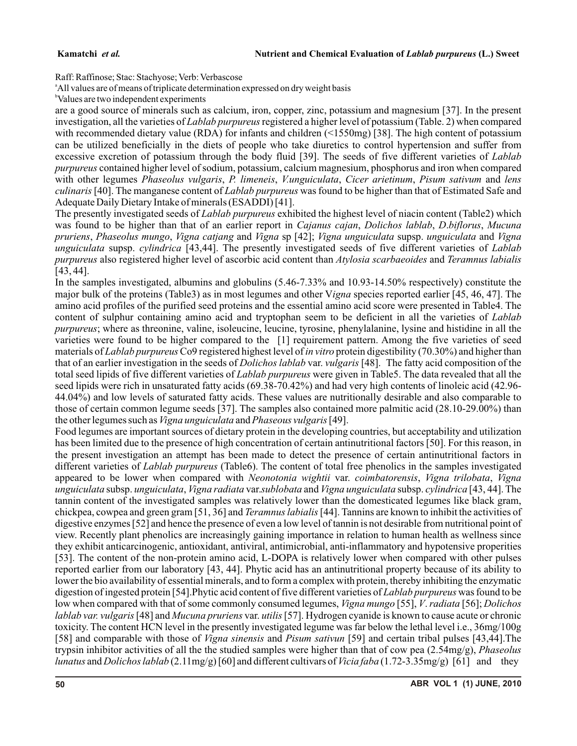Raff: Raffinose; Stac: Stachyose; Verb: Verbascose

<sup>a</sup>All values are of means of triplicate determination expressed on dry weight basis

<sup>b</sup>Values are two independent experiments

are a good source of minerals such as calcium, iron, copper, zinc, potassium and magnesium [37]. In the present investigation, all the varieties of *Lablab purpureus*registered a higher level of potassium (Table. 2) when compared with recommended dietary value (RDA) for infants and children (<1550mg) [38]. The high content of potassium can be utilized beneficially in the diets of people who take diuretics to control hypertension and suffer from excessive excretion of potassium through the body fluid [39]. The seeds of five different varieties of *Lablab purpureus* contained higher level of sodium, potassium, calcium magnesium, phosphorus and iron when compared with other legumes *Phaseolus vulgaris*, *P. limeneis*, *V.unguiculata*, *Cicer arietinum*, *Pisum sativum* and *lens culinaris*[40]. The manganese content of *Lablab purpureus* was found to be higher than that of Estimated Safe and Adequate Daily Dietary Intake of minerals (ESADDI) [41].

The presently investigated seeds of *Lablab purpureus* exhibited the highest level of niacin content (Table2) which was found to be higher than that of an earlier report in *Cajanus cajan*, *Dolichos lablab*, *D*.*biflorus*, *Mucuna pruriens*, *Phaseolus mungo*, *Vigna catjang* and *Vigna* sp [42]; *Vigna unguiculata* supsp. *unguiculata* and *Vigna unguiculata* supsp. *cylindrica* [43,44]. The presently investigated seeds of five different varieties of *Lablab purpureus* also registered higher level of ascorbic acid content than *Atylosia scarbaeoides* and *Teramnus labialis* [43, 44].

In the samples investigated, albumins and globulins (5.46-7.33% and 10.93-14.50% respectively) constitute the major bulk of the proteins (Table3) as in most legumes and other V*igna* species reported earlier [45, 46, 47]. The amino acid profiles of the purified seed proteins and the essential amino acid score were presented in Table4. The content of sulphur containing amino acid and tryptophan seem to be deficient in all the varieties of *Lablab purpureus*; where as threonine, valine, isoleucine, leucine, tyrosine, phenylalanine, lysine and histidine in all the varieties were found to be higher compared to the [1] requirement pattern. Among the five varieties of seed materials of *Lablab purpureus*Co9 registered highest level of *in vitro* protein digestibility (70.30%) and higher than that of an earlier investigation in the seeds of *Dolichos lablab* var. *vulgaris* [48]. The fatty acid composition of the total seed lipids of five different varieties of *Lablab purpureus* were given in Table5. The data revealed that all the seed lipids were rich in unsaturated fatty acids (69.38-70.42%) and had very high contents of linoleic acid (42.96- 44.04%) and low levels of saturated fatty acids. These values are nutritionally desirable and also comparable to those of certain common legume seeds [37]. The samples also contained more palmitic acid (28.10-29.00%) than the other legumes such as*Vigna unguiculata* and*Phaseous vulgaris*[49].

Food legumes are important sources of dietary protein in the developing countries, but acceptability and utilization has been limited due to the presence of high concentration of certain antinutritional factors [50]. For this reason, in the present investigation an attempt has been made to detect the presence of certain antinutritional factors in different varieties of *Lablab purpureus* (Table6). The content of total free phenolics in the samples investigated appeared to be lower when compared with *Neonotonia wightii* var. *coimbatorensis*, *Vigna trilobata*, *Vigna unguiculata* subsp. *unguiculata*, *Vigna radiata* var.*sublobata* and *Vigna unguiculata* subsp. *cylindrica* [43, 44]. The tannin content of the investigated samples was relatively lower than the domesticated legumes like black gram, chickpea, cowpea and green gram [51, 36] and *Teramnus labialis*[44]. Tannins are known to inhibit the activities of digestive enzymes [52] and hence the presence of even a low level of tannin is not desirable from nutritional point of view. Recently plant phenolics are increasingly gaining importance in relation to human health as wellness since they exhibit anticarcinogenic, antioxidant, antiviral, antimicrobial, anti-inflammatory and hypotensive properities [53]. The content of the non-protein amino acid, L-DOPA is relatively lower when compared with other pulses reported earlier from our laboratory [43, 44]. Phytic acid has an antinutritional property because of its ability to lower the bio availability of essential minerals, and to form a complex with protein, thereby inhibiting the enzymatic digestion of ingested protein [54].Phytic acid content of five different varieties of *Lablab purpureus* was found to be low when compared with that of some commonly consumed legumes, *Vigna mungo* [55], *V*.*radiata* [56]; *Dolichos lablab var. vulgaris* [48] and *Mucuna pruriens* var. *utilis*[57]. Hydrogen cyanide is known to cause acute or chronic toxicity. The content HCN level in the presently investigated legume was far below the lethal level i.e., 36mg/100g [58] and comparable with those of *Vigna sinensis* and *Pisum sativun* [59] and certain tribal pulses [43,44].The trypsin inhibitor activities of all the the studied samples were higher than that of cow pea (2.54mg/g), *Phaseolus lunatus* and *Dolichos lablab* (2.11mg/g) [60] and different cultivars of *Vicia faba* (1.72-3.35mg/g) [61] and they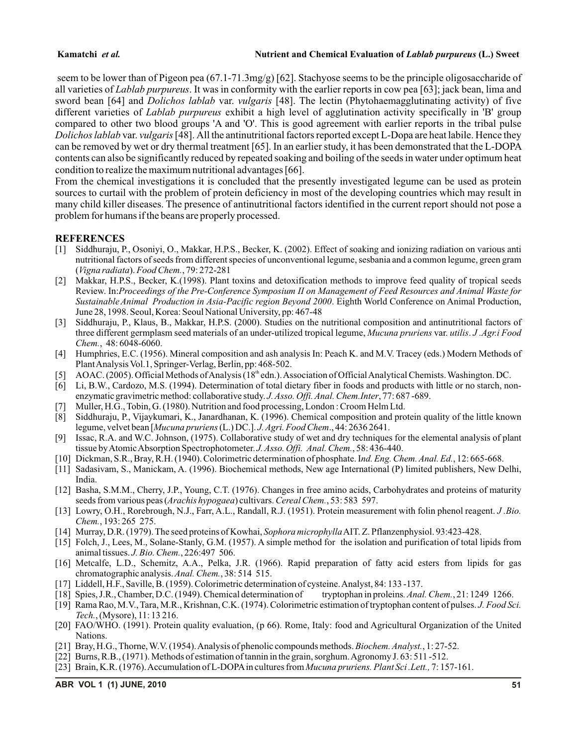seem to be lower than of Pigeon pea (67.1-71.3mg/g) [62]. Stachyose seems to be the principle oligosaccharide of all varieties of *Lablab purpureus*. It was in conformity with the earlier reports in cow pea [63]; jack bean, lima and sword bean [64] and *Dolichos lablab* var. *vulgaris* [48]. The lectin (Phytohaemagglutinating activity) of five different varieties of *Lablab purpureus* exhibit a high level of agglutination activity specifically in 'B' group compared to other two blood groups 'A and 'O'. This is good agreement with earlier reports in the tribal pulse *Dolichos lablab* var. *vulgaris*[48]. All the antinutritional factors reported except L-Dopa are heat labile. Hence they can be removed by wet or dry thermal treatment [65]. In an earlier study, it has been demonstrated that the L-DOPA contents can also be significantly reduced by repeated soaking and boiling of the seeds in water under optimum heat condition to realize the maximum nutritional advantages [66].

From the chemical investigations it is concluded that the presently investigated legume can be used as protein sources to curtail with the problem of protein deficiency in most of the developing countries which may result in many child killer diseases. The presence of antinutritional factors identified in the current report should not pose a problem for humans if the beans are properly processed.

### **REFERENCES**

- [1] Siddhuraju, P., Osoniyi, O., Makkar, H.P.S., Becker, K. (2002). Effect of soaking and ionizing radiation on various anti nutritional factors of seeds from different species of unconventional legume, sesbania and a common legume, green gram (*Vigna radiata*). *Food Chem.*, 79: 272-281
- [2] Makkar, H.P.S., Becker, K.(1998). Plant toxins and detoxification methods to improve feed quality of tropical seeds Review. In:*Proceedings of the Pre-Conference Symposium II on Management of Feed Resources and Animal Waste for Sustainable Animal Production in Asia-Pacific region Beyond 2000*. Eighth World Conference on Animal Production, June 28, 1998. Seoul, Korea: Seoul National University, pp: 467-48
- [3] Siddhuraju, P., Klaus, B., Makkar, H.P.S. (2000). Studies on the nutritional composition and antinutritional factors of three different germplasm seed materials of an under-utilized tropical legume, *Mucuna pruriens* var. *utilis*. *J .Agr.i Food Chem.*, 48: 6048-6060.
- [4] Humphries, E.C. (1956). Mineral composition and ash analysis In: Peach K. and M.V. Tracey (eds.) Modern Methods of Plant Analysis Vol.1,Springer-Verlag, Berlin, pp: 468-502.
- [5] AOAC. (2005). Official Methods of Analysis (18<sup>th</sup> edn.). Association of Official Analytical Chemists. Washington. DC.
- [6] Li, B.W., Cardozo, M.S. (1994). Determination of total dietary fiber in foods and products with little or no starch, nonenzymatic gravimetric method: collaborative study. *J. Asso. Offi. Anal. Chem.Inter*, 77: 687 -689.
- [7] Muller, H.G., Tobin, G. (1980). Nutrition and food processing, London : Croom Helm Ltd.
- [8] Siddhuraju, P., Vijaykumari, K., Janardhanan, K. (1996). Chemical composition and protein quality of the little known legume, velvet bean [*Mucuna pruriens* (L.) DC.]. *J. Agri. Food Chem*., 44: 2636 2641.
- [9] Issac, R.A. and W.C. Johnson, (1975). Collaborative study of wet and dry techniques for the elemental analysis of plant tissue by Atomic Absorption Spectrophotometer. *J. Asso. Offi. Anal. Chem.*, 58: 436-440.
- [10] Dickman, S.R., Bray, R.H. (1940). Colorimetric determination of phosphate. I*nd. Eng. Chem. Anal. Ed.*, 12: 665-668.
- [11] Sadasivam, S., Manickam, A. (1996). Biochemical methods, New age International (P) limited publishers, New Delhi, India.
- [12] Basha, S.M.M., Cherry, J.P., Young, C.T. (1976). Changes in free amino acids, Carbohydrates and proteins of maturity seeds from various peas (*Arachis hypogaea*) cultivars. *Cereal Chem.*, 53: 583 597.
- [13] Lowry, O.H., Rorebrough, N.J., Farr, A.L., Randall, R.J. (1951). Protein measurement with folin phenol reagent. *J .Bio. Chem.*, 193: 265 275.
- [14] Murray, D.R. (1979). The seed proteins of Kowhai, *Sophora microphylla*AIT. Z. Pflanzenphysiol. 93:423-428.
- [15] Folch, J., Lees, M., Solane-Stanly, G.M. (1957). A simple method for the isolation and purification of total lipids from animal tissues. *J. Bio. Chem.*, 226:497 506.
- [16] Metcalfe, L.D., Schemitz, A.A., Pelka, J.R. (1966). Rapid preparation of fatty acid esters from lipids for gas chromatographic analysis.*Anal. Chem.*, 38: 514 515.
- [17] Liddell, H.F., Saville, B. (1959). Colorimetric determination of cysteine. Analyst, 84: 133 -137.
- [18] Spies, J.R., Chamber, D.C. (1949). Chemical determination of tryptophan in proleins*. Anal. Chem.*, 21: 1249 1266.
- [19] Rama Rao, M.V., Tara, M.R., Krishnan, C.K. (1974). Colorimetric estimation of tryptophan content of pulses. *J. Food Sci. Tech.*, (Mysore), 11: 13 216.
- [20] FAO/WHO. (1991). Protein quality evaluation, (p 66). Rome, Italy: food and Agricultural Organization of the United Nations.
- [21] Bray, H.G., Thorne, W.V. (1954). Analysis of phenolic compounds methods. *Biochem. Analyst.*, 1: 27-52.
- [22] Burns, R.B., (1971). Methods of estimation of tannin in the grain, sorghum. Agronomy J. 63: 511 -512.
- [23] Brain, K.R. (1976). Accumulation of L-DOPAin cultures from *Mucuna pruriens. Plant Sci .Lett.,* 7: 157-161.

**ABR VOL 1 (1) JUNE, 2010 51**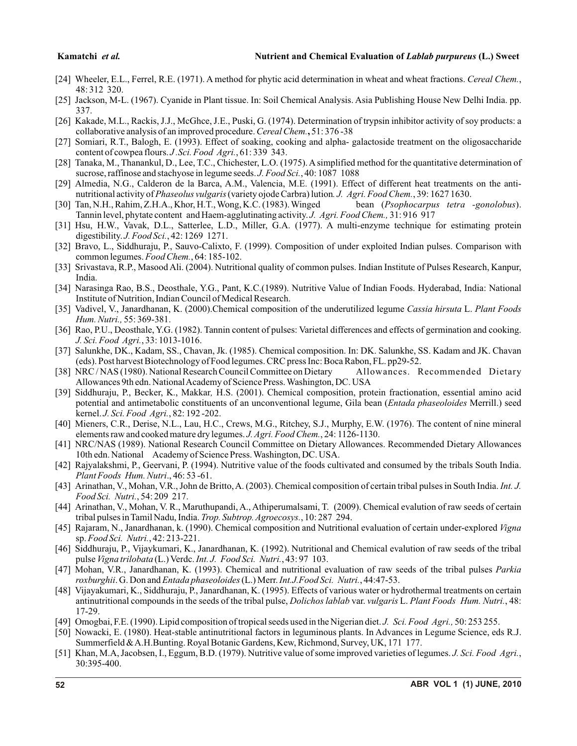- [24] Wheeler, E.L., Ferrel, R.E. (1971). A method for phytic acid determination in wheat and wheat fractions. *Cereal Chem.*, 48: 312 320.
- [25] Jackson, M-L. (1967). Cyanide in Plant tissue. In: Soil Chemical Analysis. Asia Publishing House New Delhi India. pp. 337.
- [26] Kakade, M.L., Rackis, J.J., McGhce, J.E., Puski, G. (1974). Determination of trypsin inhibitor activity of soy products: a collaborative analysis of an improved procedure.*Cereal Chem.***,** 51: 376 -38
- [27] Somiari, R.T., Balogh, E. (1993). Effect of soaking, cooking and alpha- galactoside treatment on the oligosaccharide content of cowpea flours. *J .Sci. Food Agri.*, 61: 339 343.
- [28] Tanaka, M., Thanankul, D., Lee, T.C., Chichester, L.O. (1975). Asimplified method for the quantitative determination of sucrose, raffinose and stachyose in legume seeds. *J. Food Sci.*, 40: 1087 1088
- [29] Almedia, N.G., Calderon de la Barca, A.M., Valencia, M.E. (1991). Effect of different heat treatments on the antinutritional activity of *Phaseolus vulgaris* (variety ojode Carbra) lution*. J. Agri. Food Chem.*, 39: 1627 1630.
- [30] Tan, N.H., Rahim, Z.H.A., Khor, H.T., Wong, K.C. (1983). Winged bean (*Psophocarpus tetra -gonolobus*). Tannin level, phytate content and Haem-agglutinating activity. *J. Agri. Food Chem.,* 31: 916 917
- [31] Hsu, H.W., Vavak, D.L., Satterlee, L.D., Miller, G.A. (1977). A multi-enzyme technique for estimating protein digestibility. *J. Food Sci.*, 42: 1269 1271.
- [32] Bravo, L., Siddhuraju, P., Sauvo-Calixto, F. (1999). Composition of under exploited Indian pulses. Comparison with common legumes. *Food Chem.*, 64: 185-102.
- [33] Srivastava, R.P., Masood Ali. (2004). Nutritional quality of common pulses. Indian Institute of Pulses Research, Kanpur, India.
- [34] Narasinga Rao, B.S., Deosthale, Y.G., Pant, K.C.(1989). Nutritive Value of Indian Foods. Hyderabad, India: National Institute of Nutrition, Indian Council of Medical Research.
- [35] Vadivel, V., Janardhanan, K. (2000).Chemical composition of the underutilized legume *Cassia hirsuta* L. *Plant Foods Hum. Nutri.,* 55: 369-381.
- [36] Rao, P.U., Deosthale, Y.G. (1982). Tannin content of pulses: Varietal differences and effects of germination and cooking. *J. Sci. Food Agri.*, 33: 1013-1016.
- [37] Salunkhe, DK., Kadam, SS., Chavan, Jk. (1985). Chemical composition. In: DK. Salunkhe, SS. Kadam and JK. Chavan (eds). Post harvest Biotechnology of Food legumes. CRC press Inc: Boca Rabon, FL. pp29-52.
- [38] NRC / NAS (1980). National Research Council Committee on Dietary Allowances. Recommended Dietary Allowances 9th edn. National Academy of Science Press. Washington, DC. USA
- [39] Siddhuraju, P., Becker, K., Makkar*,* H.S. (2001). Chemical composition, protein fractionation, essential amino acid potential and antimetabolic constituents of an unconventional legume, Gila bean (*Entada phaseoloides* Merrill.) seed kernel. *J. Sci. Food Agri.*, 82: 192 -202.
- [40] Mieners, C.R., Derise, N.L., Lau, H.C., Crews, M.G., Ritchey, S.J., Murphy, E.W. (1976). The content of nine mineral elements raw and cooked mature dry legumes. *J. Agri. Food Chem.*, 24: 1126-1130.
- [41] NRC/NAS (1989). National Research Council Committee on Dietary Allowances. Recommended Dietary Allowances 10th edn. National Academy of Science Press. Washington, DC. USA.
- [42] Rajyalakshmi, P., Geervani, P. (1994). Nutritive value of the foods cultivated and consumed by the tribals South India. *Plant Foods Hum. Nutri*., 46: 53 -61.
- [43] Arinathan, V., Mohan, V.R., John de Britto, A. (2003). Chemical composition of certain tribal pulses in South India. *Int. J. Food Sci. Nutri.*, 54: 209 217.
- [44] Arinathan, V., Mohan, V. R., Maruthupandi, A., Athiperumalsami, T. (2009). Chemical evalution of raw seeds of certain tribal pulses in Tamil Nadu, India. *Trop. Subtrop. Agroecosys.*, 10: 287 294.
- [45] Rajaram, N., Janardhanan, k. (1990). Chemical composition and Nutritional evaluation of certain under-explored *Vigna* sp.*Food Sci. Nutri.*, 42: 213-221.
- [46] Siddhuraju, P., Vijaykumari, K., Janardhanan, K. (1992). Nutritional and Chemical evalution of raw seeds of the tribal pulse *Vigna trilobata* (L.) Verdc. *Int. J. Food Sci. Nutri.*, 43: 97 103.
- [47] Mohan, V.R., Janardhanan, K. (1993). Chemical and nutritional evaluation of raw seeds of the tribal pulses *Parkia roxburghii*. G. Don and *Entada phaseoloides* (L.) Merr. *Int.J.Food Sci. Nutri.*, 44:47-53.
- [48] Vijayakumari, K., Siddhuraju, P., Janardhanan, K. (1995). Effects of various water or hydrothermal treatments on certain antinutritional compounds in the seeds of the tribal pulse, *Dolichos lablab* var. *vulgaris* L. *Plant Foods Hum. Nutri.*, 48: 17-29.
- [49] Omogbai, F.E. (1990). Lipid composition of tropical seeds used in the Nigerian diet. *J. Sci. Food Agri.,* 50: 253 255.
- [50] Nowacki, E. (1980). Heat-stable antinutritional factors in leguminous plants. In Advances in Legume Science, eds R.J. Summerfield & A.H.Bunting. Royal Botanic Gardens, Kew, Richmond, Survey, UK, 171 177.
- [51] Khan, M.A, Jacobsen, I., Eggum, B.D. (1979). Nutritive value of some improved varieties of legumes. *J. Sci. Food Agri.*, 30:395-400.